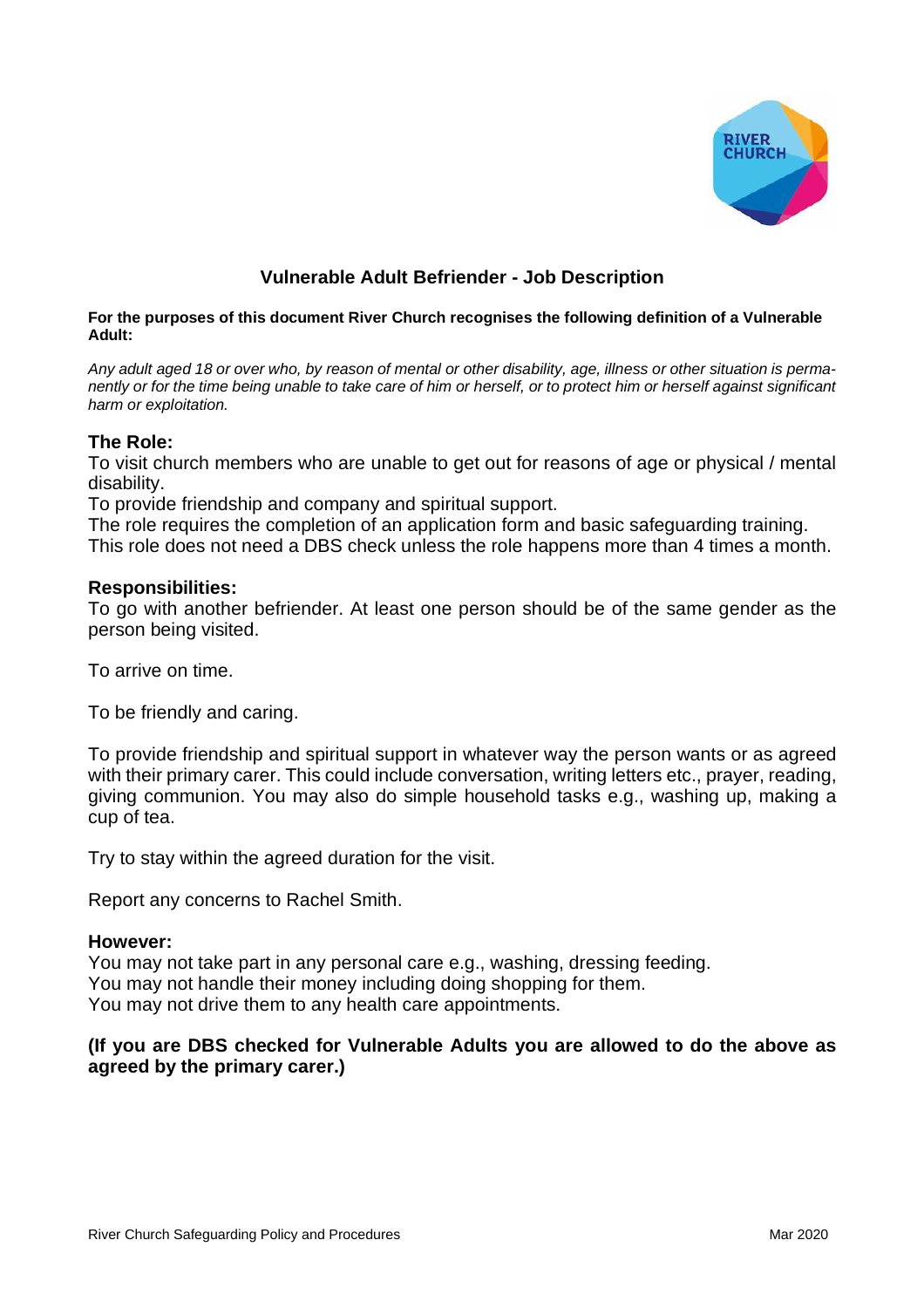

# **Vulnerable Adult Befriender - Job Description**

#### **For the purposes of this document River Church recognises the following definition of a Vulnerable Adult:**

Any adult aged 18 or over who, by reason of mental or other disability, age, illness or other situation is permanently or for the time being unable to take care of him or herself, or to protect him or herself against significant *harm or exploitation.*

## **The Role:**

To visit church members who are unable to get out for reasons of age or physical / mental disability.

To provide friendship and company and spiritual support.

The role requires the completion of an application form and basic safeguarding training. This role does not need a DBS check unless the role happens more than 4 times a month.

## **Responsibilities:**

To go with another befriender. At least one person should be of the same gender as the person being visited.

To arrive on time.

To be friendly and caring.

To provide friendship and spiritual support in whatever way the person wants or as agreed with their primary carer. This could include conversation, writing letters etc., prayer, reading, giving communion. You may also do simple household tasks e.g., washing up, making a cup of tea.

Try to stay within the agreed duration for the visit.

Report any concerns to Rachel Smith.

#### **However:**

You may not take part in any personal care e.g., washing, dressing feeding. You may not handle their money including doing shopping for them. You may not drive them to any health care appointments.

## **(If you are DBS checked for Vulnerable Adults you are allowed to do the above as agreed by the primary carer.)**